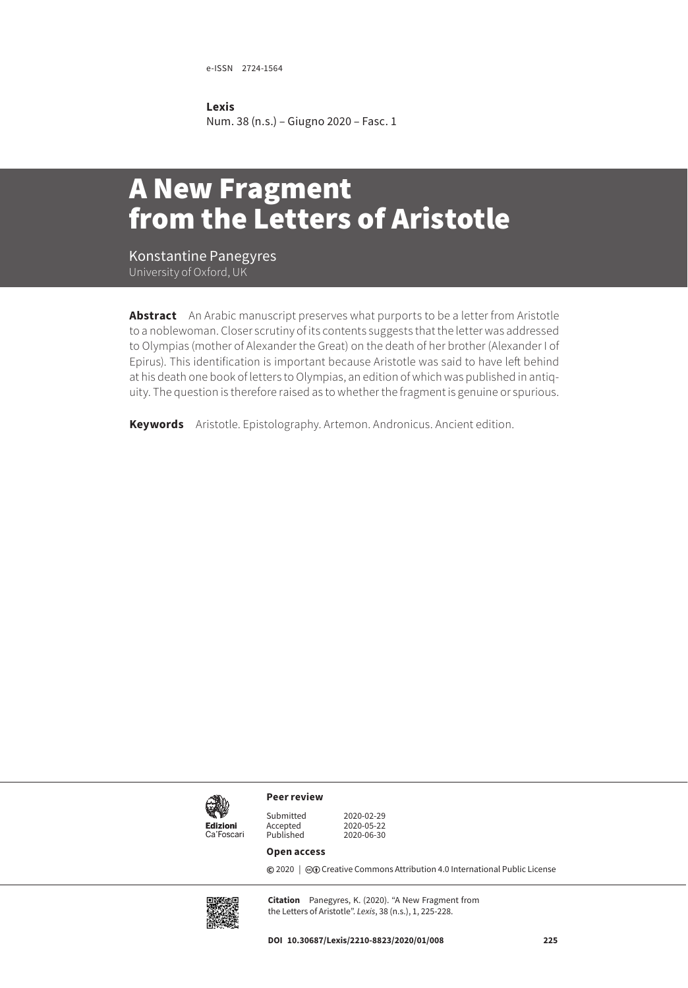e-ISSN 2724-1564

## **Lexis**

Num. 38 (n.s.) – Giugno 2020 – Fasc. 1

## A New Fragment from the Letters of Aristotle

Konstantine Panegyres

**Abstract** An Arabic manuscript preserves what purports to be a letter from Aristotle to a noblewoman. Closer scrutiny of its contents suggests that the letter was addressed to Olympias (mother of Alexander the Great) on the death of her brother (Alexander I of Epirus). This identification is important because Aristotle was said to have left behind at his death one book of letters to Olympias, an edition of which was published in antiquity. The question is therefore raised as to whether the fragment is genuine or spurious.

**Keywords** Aristotle. Epistolography. Artemon. Andronicus. Ancient edition.



**Peer review**

Submitted 2020-02-29 2020-05-22<br>2020-06-30

## **Open access**

Accepted<br>Published

**©** 2020 | ©**O** [Creative Commons Attribution 4.0 International Public License](https://creativecommons.org/licenses/by/4.0/)



**Citation** Panegyres, K. (2020). "A New Fragment from the Letters of Aristotle". *Lexis*, 38 (n.s.), 1, 225-228.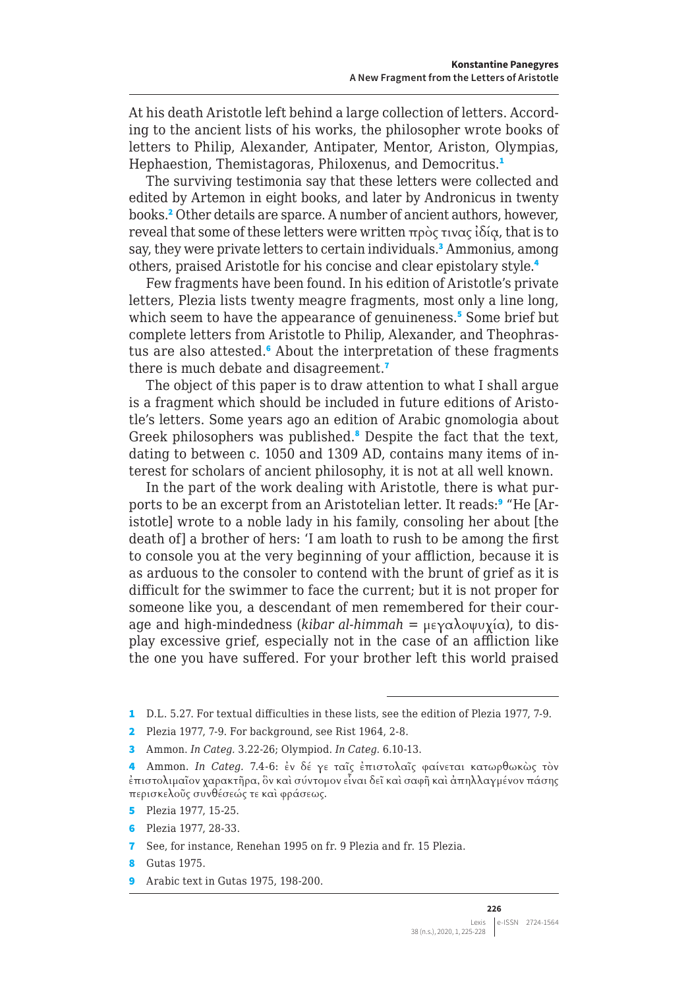At his death Aristotle left behind a large collection of letters. According to the ancient lists of his works, the philosopher wrote books of letters to Philip, Alexander, Antipater, Mentor, Ariston, Olympias, Hephaestion, Themistagoras, Philoxenus, and Democritus.<sup>1</sup>

The surviving testimonia say that these letters were collected and edited by Artemon in eight books, and later by Andronicus in twenty books.<sup>2</sup> Other details are sparce. A number of ancient authors, however, reveal that some of these letters were written πρὸς τινας ἰδίᾳ, that is to say, they were private letters to certain individuals.<sup>3</sup> Ammonius, among others, praised Aristotle for his concise and clear epistolary style.<sup>4</sup>

Few fragments have been found. In his edition of Aristotle's private letters, Plezia lists twenty meagre fragments, most only a line long, which seem to have the appearance of genuineness.<sup>5</sup> Some brief but complete letters from Aristotle to Philip, Alexander, and Theophrastus are also attested.<sup>6</sup> About the interpretation of these fragments there is much debate and disagreement.<sup>7</sup>

The object of this paper is to draw attention to what I shall argue is a fragment which should be included in future editions of Aristotle's letters. Some years ago an edition of Arabic gnomologia about Greek philosophers was published.<sup>8</sup> Despite the fact that the text, dating to between c. 1050 and 1309 AD, contains many items of interest for scholars of ancient philosophy, it is not at all well known.

In the part of the work dealing with Aristotle, there is what purports to be an excerpt from an Aristotelian letter. It reads:<sup>9</sup> "He [Aristotle] wrote to a noble lady in his family, consoling her about [the death of] a brother of hers: 'I am loath to rush to be among the first to console you at the very beginning of your affliction, because it is as arduous to the consoler to contend with the brunt of grief as it is difficult for the swimmer to face the current; but it is not proper for someone like you, a descendant of men remembered for their courage and high-mindedness (*kibar al-himmah* = μεγαλοψυχία), to display excessive grief, especially not in the case of an affliction like the one you have suffered. For your brother left this world praised

- 5 Plezia 1977, 15-25.
- 6 Plezia 1977, 28-33.
- 7 See, for instance, Renehan 1995 on fr. 9 Plezia and fr. 15 Plezia.
- 8 Gutas 1975.
- 9 Arabic text in Gutas 1975, 198-200.

<sup>1</sup> D.L. 5.27. For textual difficulties in these lists, see the edition of Plezia 1977, 7-9.

<sup>2</sup> Plezia 1977, 7-9. For background, see Rist 1964, 2-8.

<sup>3</sup> Ammon. *In Categ.* 3.22-26; Olympiod. *In Categ.* 6.10-13.

<sup>4</sup> Ammon. *In Categ.* 7.4-6: ἐν δέ γε ταῖς ἐπιστολαῖς φαίνεται κατωρθωκὼς τὸν ἐπιστολιμαῖον χαρακτῆρα, ὃν καὶ σύντομον εἶναι δεῖ καὶ σαφῆ καὶ ἀπηλλαγμένον πάσης περισκελοῦς συνθέσεώς τε καὶ φράσεως.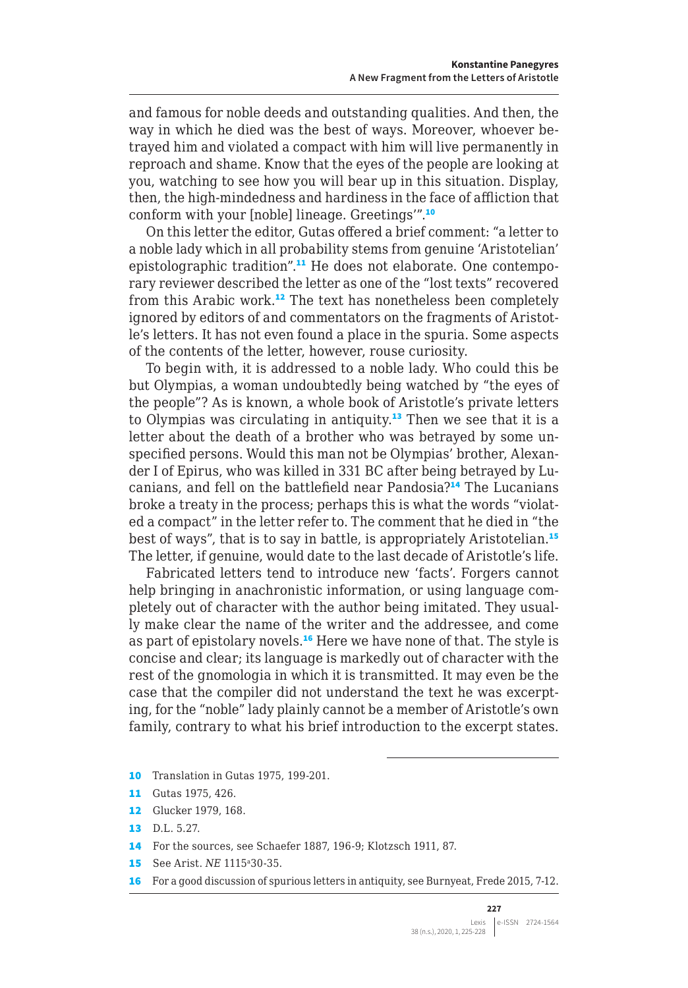and famous for noble deeds and outstanding qualities. And then, the way in which he died was the best of ways. Moreover, whoever betrayed him and violated a compact with him will live permanently in reproach and shame. Know that the eyes of the people are looking at you, watching to see how you will bear up in this situation. Display, then, the high-mindedness and hardiness in the face of affliction that conform with your [noble] lineage. Greetings'".<sup>10</sup>

On this letter the editor, Gutas offered a brief comment: "a letter to a noble lady which in all probability stems from genuine 'Aristotelian' epistolographic tradition".11 He does not elaborate. One contemporary reviewer described the letter as one of the "lost texts" recovered from this Arabic work.<sup>12</sup> The text has nonetheless been completely ignored by editors of and commentators on the fragments of Aristotle's letters. It has not even found a place in the spuria. Some aspects of the contents of the letter, however, rouse curiosity.

To begin with, it is addressed to a noble lady. Who could this be but Olympias, a woman undoubtedly being watched by "the eyes of the people"? As is known, a whole book of Aristotle's private letters to Olympias was circulating in antiquity.<sup>13</sup> Then we see that it is a letter about the death of a brother who was betrayed by some unspecified persons. Would this man not be Olympias' brother, Alexander I of Epirus, who was killed in 331 BC after being betrayed by Lucanians, and fell on the battlefield near Pandosia?<sup>14</sup> The Lucanians broke a treaty in the process; perhaps this is what the words "violated a compact" in the letter refer to. The comment that he died in "the best of ways", that is to say in battle, is appropriately Aristotelian.<sup>15</sup> The letter, if genuine, would date to the last decade of Aristotle's life.

Fabricated letters tend to introduce new 'facts'. Forgers cannot help bringing in anachronistic information, or using language completely out of character with the author being imitated. They usually make clear the name of the writer and the addressee, and come as part of epistolary novels.<sup>16</sup> Here we have none of that. The style is concise and clear; its language is markedly out of character with the rest of the gnomologia in which it is transmitted. It may even be the case that the compiler did not understand the text he was excerpting, for the "noble" lady plainly cannot be a member of Aristotle's own family, contrary to what his brief introduction to the excerpt states.

- 10 Translation in Gutas 1975, 199-201.
- 11 Gutas 1975, 426.
- 12 Glucker 1979, 168.
- 13 D.L. 5.27.
- 14 For the sources, see Schaefer 1887, 196-9; Klotzsch 1911, 87.
- 15 See Arist. *NE* 1115<sup>a</sup>30-35.
- 16 For a good discussion of spurious letters in antiquity, see Burnyeat, Frede 2015, 7-12.